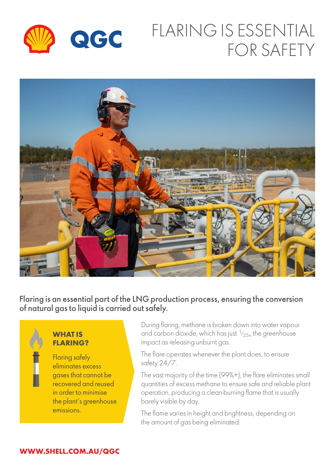

# FLARING IS ESSENTIAL FOR SAFETY



Flaring is an essential part of the LNG production process, ensuring the conversion of natural gas to liquid is carried out safely.



### **WHAT IS FLARING?**

Flaring safely eliminates excess gases that cannot be recovered and reused in order to minimise the plant's greenhouse emissions.

During flaring, methane is broken down into water vapour and carbon dioxide, which has just  $1/25<sub>th</sub>$  the greenhouse impact as releasing unburnt gas.

The flare operates whenever the plant does, to ensure safety 24/7.

The vast majority of the time (99%+), the flare eliminates small quantities of excess methane to ensure safe and reliable plant operation, producing a clean-burning flame that is usually barely visible by day.

The flame varies in height and brightness, depending on the amount of gas being eliminated.